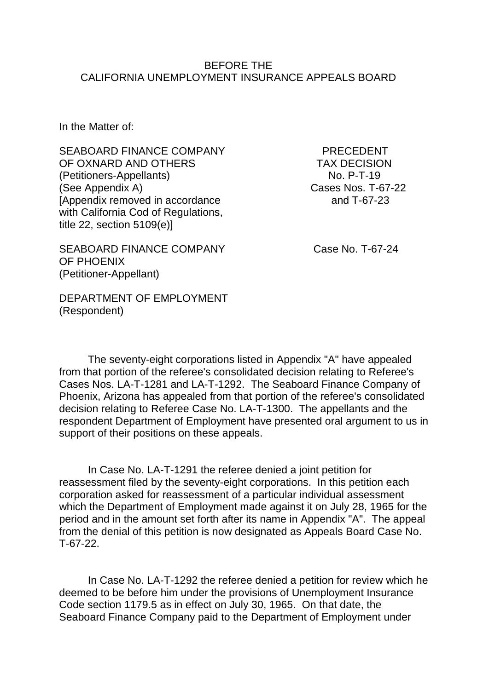#### BEFORE THE CALIFORNIA UNEMPLOYMENT INSURANCE APPEALS BOARD

In the Matter of:

SEABOARD FINANCE COMPANY PRECEDENT OF OXNARD AND OTHERS TAX DECISION (Petitioners-Appellants) No. P-T-19 (See Appendix A) Cases Nos. T-67-22 [Appendix removed in accordance and T-67-23 with California Cod of Regulations, title 22, section 5109(e)]

SEABOARD FINANCE COMPANY Case No. T-67-24 OF PHOENIX (Petitioner-Appellant)

DEPARTMENT OF EMPLOYMENT (Respondent)

The seventy-eight corporations listed in Appendix "A" have appealed from that portion of the referee's consolidated decision relating to Referee's Cases Nos. LA-T-1281 and LA-T-1292. The Seaboard Finance Company of Phoenix, Arizona has appealed from that portion of the referee's consolidated decision relating to Referee Case No. LA-T-1300. The appellants and the respondent Department of Employment have presented oral argument to us in support of their positions on these appeals.

In Case No. LA-T-1291 the referee denied a joint petition for reassessment filed by the seventy-eight corporations. In this petition each corporation asked for reassessment of a particular individual assessment which the Department of Employment made against it on July 28, 1965 for the period and in the amount set forth after its name in Appendix "A". The appeal from the denial of this petition is now designated as Appeals Board Case No. T-67-22.

In Case No. LA-T-1292 the referee denied a petition for review which he deemed to be before him under the provisions of Unemployment Insurance Code section 1179.5 as in effect on July 30, 1965. On that date, the Seaboard Finance Company paid to the Department of Employment under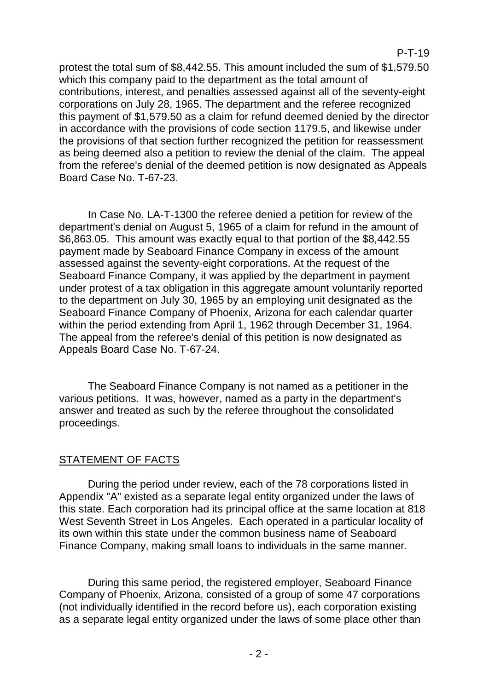protest the total sum of \$8,442.55. This amount included the sum of \$1,579.50 which this company paid to the department as the total amount of contributions, interest, and penalties assessed against all of the seventy-eight corporations on July 28, 1965. The department and the referee recognized this payment of \$1,579.50 as a claim for refund deemed denied by the director in accordance with the provisions of code section 1179.5, and likewise under the provisions of that section further recognized the petition for reassessment as being deemed also a petition to review the denial of the claim. The appeal from the referee's denial of the deemed petition is now designated as Appeals Board Case No. T-67-23.

P-T-19

In Case No. LA-T-1300 the referee denied a petition for review of the department's denial on August 5, 1965 of a claim for refund in the amount of \$6,863.05. This amount was exactly equal to that portion of the \$8,442.55 payment made by Seaboard Finance Company in excess of the amount assessed against the seventy-eight corporations. At the request of the Seaboard Finance Company, it was applied by the department in payment under protest of a tax obligation in this aggregate amount voluntarily reported to the department on July 30, 1965 by an employing unit designated as the Seaboard Finance Company of Phoenix, Arizona for each calendar quarter within the period extending from April 1, 1962 through December 31, 1964. The appeal from the referee's denial of this petition is now designated as Appeals Board Case No. T-67-24.

The Seaboard Finance Company is not named as a petitioner in the various petitions. It was, however, named as a party in the department's answer and treated as such by the referee throughout the consolidated proceedings.

## STATEMENT OF FACTS

During the period under review, each of the 78 corporations listed in Appendix "A" existed as a separate legal entity organized under the laws of this state. Each corporation had its principal office at the same location at 818 West Seventh Street in Los Angeles. Each operated in a particular locality of its own within this state under the common business name of Seaboard Finance Company, making small loans to individuals in the same manner.

During this same period, the registered employer, Seaboard Finance Company of Phoenix, Arizona, consisted of a group of some 47 corporations (not individually identified in the record before us), each corporation existing as a separate legal entity organized under the laws of some place other than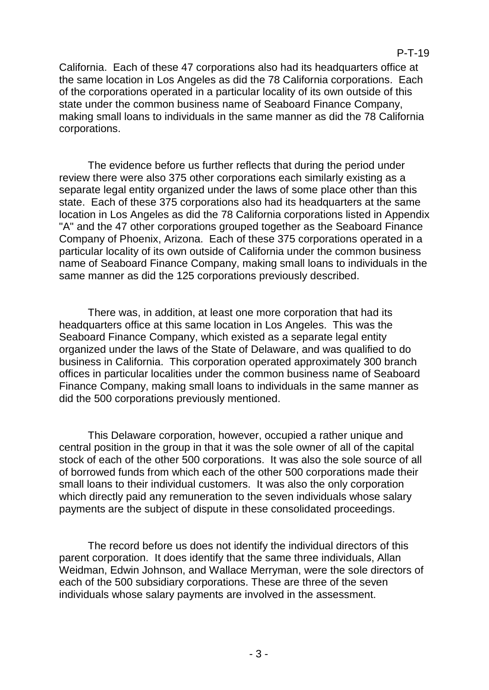California. Each of these 47 corporations also had its headquarters office at the same location in Los Angeles as did the 78 California corporations. Each of the corporations operated in a particular locality of its own outside of this state under the common business name of Seaboard Finance Company, making small loans to individuals in the same manner as did the 78 California corporations.

The evidence before us further reflects that during the period under review there were also 375 other corporations each similarly existing as a separate legal entity organized under the laws of some place other than this state. Each of these 375 corporations also had its headquarters at the same location in Los Angeles as did the 78 California corporations listed in Appendix "A" and the 47 other corporations grouped together as the Seaboard Finance Company of Phoenix, Arizona. Each of these 375 corporations operated in a particular locality of its own outside of California under the common business name of Seaboard Finance Company, making small loans to individuals in the same manner as did the 125 corporations previously described.

There was, in addition, at least one more corporation that had its headquarters office at this same location in Los Angeles. This was the Seaboard Finance Company, which existed as a separate legal entity organized under the laws of the State of Delaware, and was qualified to do business in California. This corporation operated approximately 300 branch offices in particular localities under the common business name of Seaboard Finance Company, making small loans to individuals in the same manner as did the 500 corporations previously mentioned.

This Delaware corporation, however, occupied a rather unique and central position in the group in that it was the sole owner of all of the capital stock of each of the other 500 corporations. It was also the sole source of all of borrowed funds from which each of the other 500 corporations made their small loans to their individual customers. It was also the only corporation which directly paid any remuneration to the seven individuals whose salary payments are the subject of dispute in these consolidated proceedings.

The record before us does not identify the individual directors of this parent corporation. It does identify that the same three individuals, Allan Weidman, Edwin Johnson, and Wallace Merryman, were the sole directors of each of the 500 subsidiary corporations. These are three of the seven individuals whose salary payments are involved in the assessment.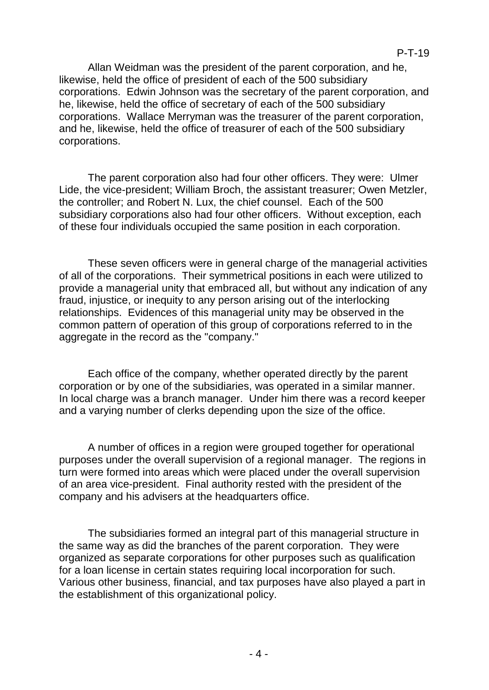Allan Weidman was the president of the parent corporation, and he, likewise, held the office of president of each of the 500 subsidiary corporations. Edwin Johnson was the secretary of the parent corporation, and he, likewise, held the office of secretary of each of the 500 subsidiary corporations. Wallace Merryman was the treasurer of the parent corporation, and he, likewise, held the office of treasurer of each of the 500 subsidiary corporations.

The parent corporation also had four other officers. They were: Ulmer Lide, the vice-president; William Broch, the assistant treasurer; Owen Metzler, the controller; and Robert N. Lux, the chief counsel. Each of the 500 subsidiary corporations also had four other officers. Without exception, each of these four individuals occupied the same position in each corporation.

These seven officers were in general charge of the managerial activities of all of the corporations. Their symmetrical positions in each were utilized to provide a managerial unity that embraced all, but without any indication of any fraud, injustice, or inequity to any person arising out of the interlocking relationships. Evidences of this managerial unity may be observed in the common pattern of operation of this group of corporations referred to in the aggregate in the record as the "company."

Each office of the company, whether operated directly by the parent corporation or by one of the subsidiaries, was operated in a similar manner. In local charge was a branch manager. Under him there was a record keeper and a varying number of clerks depending upon the size of the office.

A number of offices in a region were grouped together for operational purposes under the overall supervision of a regional manager. The regions in turn were formed into areas which were placed under the overall supervision of an area vice-president. Final authority rested with the president of the company and his advisers at the headquarters office.

The subsidiaries formed an integral part of this managerial structure in the same way as did the branches of the parent corporation. They were organized as separate corporations for other purposes such as qualification for a loan license in certain states requiring local incorporation for such. Various other business, financial, and tax purposes have also played a part in the establishment of this organizational policy.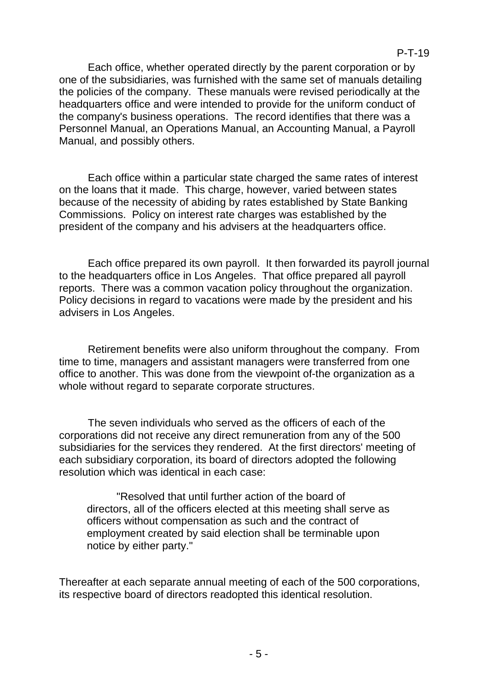#### P-T-19

Each office, whether operated directly by the parent corporation or by one of the subsidiaries, was furnished with the same set of manuals detailing the policies of the company. These manuals were revised periodically at the headquarters office and were intended to provide for the uniform conduct of the company's business operations. The record identifies that there was a Personnel Manual, an Operations Manual, an Accounting Manual, a Payroll Manual, and possibly others.

Each office within a particular state charged the same rates of interest on the loans that it made. This charge, however, varied between states because of the necessity of abiding by rates established by State Banking Commissions. Policy on interest rate charges was established by the president of the company and his advisers at the headquarters office.

Each office prepared its own payroll. It then forwarded its payroll journal to the headquarters office in Los Angeles. That office prepared all payroll reports. There was a common vacation policy throughout the organization. Policy decisions in regard to vacations were made by the president and his advisers in Los Angeles.

Retirement benefits were also uniform throughout the company. From time to time, managers and assistant managers were transferred from one office to another. This was done from the viewpoint of-the organization as a whole without regard to separate corporate structures.

The seven individuals who served as the officers of each of the corporations did not receive any direct remuneration from any of the 500 subsidiaries for the services they rendered. At the first directors' meeting of each subsidiary corporation, its board of directors adopted the following resolution which was identical in each case:

"Resolved that until further action of the board of directors, all of the officers elected at this meeting shall serve as officers without compensation as such and the contract of employment created by said election shall be terminable upon notice by either party."

Thereafter at each separate annual meeting of each of the 500 corporations, its respective board of directors readopted this identical resolution.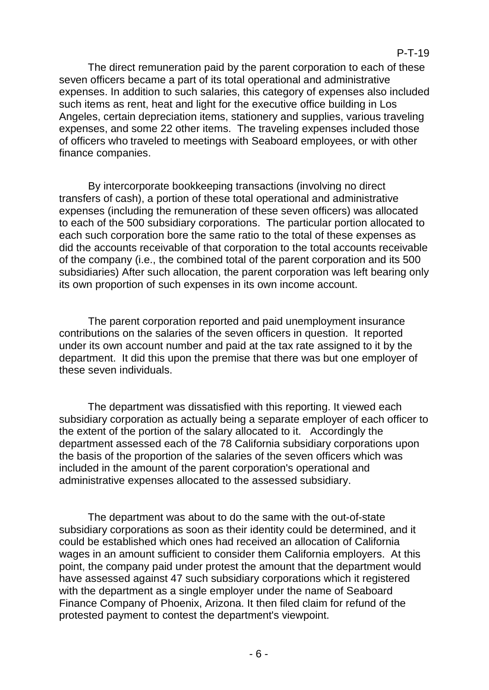#### P-T-19

The direct remuneration paid by the parent corporation to each of these seven officers became a part of its total operational and administrative expenses. In addition to such salaries, this category of expenses also included such items as rent, heat and light for the executive office building in Los Angeles, certain depreciation items, stationery and supplies, various traveling expenses, and some 22 other items. The traveling expenses included those of officers who traveled to meetings with Seaboard employees, or with other finance companies.

By intercorporate bookkeeping transactions (involving no direct transfers of cash), a portion of these total operational and administrative expenses (including the remuneration of these seven officers) was allocated to each of the 500 subsidiary corporations. The particular portion allocated to each such corporation bore the same ratio to the total of these expenses as did the accounts receivable of that corporation to the total accounts receivable of the company (i.e., the combined total of the parent corporation and its 500 subsidiaries) After such allocation, the parent corporation was left bearing only its own proportion of such expenses in its own income account.

The parent corporation reported and paid unemployment insurance contributions on the salaries of the seven officers in question. It reported under its own account number and paid at the tax rate assigned to it by the department. It did this upon the premise that there was but one employer of these seven individuals.

The department was dissatisfied with this reporting. It viewed each subsidiary corporation as actually being a separate employer of each officer to the extent of the portion of the salary allocated to it. Accordingly the department assessed each of the 78 California subsidiary corporations upon the basis of the proportion of the salaries of the seven officers which was included in the amount of the parent corporation's operational and administrative expenses allocated to the assessed subsidiary.

The department was about to do the same with the out-of-state subsidiary corporations as soon as their identity could be determined, and it could be established which ones had received an allocation of California wages in an amount sufficient to consider them California employers. At this point, the company paid under protest the amount that the department would have assessed against 47 such subsidiary corporations which it registered with the department as a single employer under the name of Seaboard Finance Company of Phoenix, Arizona. It then filed claim for refund of the protested payment to contest the department's viewpoint.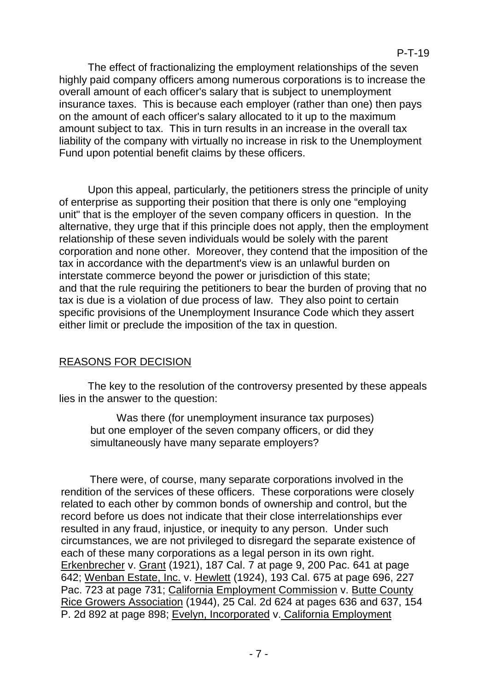The effect of fractionalizing the employment relationships of the seven highly paid company officers among numerous corporations is to increase the overall amount of each officer's salary that is subject to unemployment insurance taxes. This is because each employer (rather than one) then pays on the amount of each officer's salary allocated to it up to the maximum amount subject to tax. This in turn results in an increase in the overall tax liability of the company with virtually no increase in risk to the Unemployment Fund upon potential benefit claims by these officers.

Upon this appeal, particularly, the petitioners stress the principle of unity of enterprise as supporting their position that there is only one "employing unit" that is the employer of the seven company officers in question. In the alternative, they urge that if this principle does not apply, then the employment relationship of these seven individuals would be solely with the parent corporation and none other. Moreover, they contend that the imposition of the tax in accordance with the department's view is an unlawful burden on interstate commerce beyond the power or jurisdiction of this state; and that the rule requiring the petitioners to bear the burden of proving that no tax is due is a violation of due process of law. They also point to certain specific provisions of the Unemployment Insurance Code which they assert either limit or preclude the imposition of the tax in question.

## REASONS FOR DECISION

The key to the resolution of the controversy presented by these appeals lies in the answer to the question:

Was there (for unemployment insurance tax purposes) but one employer of the seven company officers, or did they simultaneously have many separate employers?

There were, of course, many separate corporations involved in the rendition of the services of these officers. These corporations were closely related to each other by common bonds of ownership and control, but the record before us does not indicate that their close interrelationships ever resulted in any fraud, injustice, or inequity to any person. Under such circumstances, we are not privileged to disregard the separate existence of each of these many corporations as a legal person in its own right. Erkenbrecher v. Grant (1921), 187 Cal. 7 at page 9, 200 Pac. 641 at page 642; Wenban Estate, Inc. v. Hewlett (1924), 193 Cal. 675 at page 696, 227 Pac. 723 at page 731; California Employment Commission v. Butte County Rice Growers Association (1944), 25 Cal. 2d 624 at pages 636 and 637, 154 P. 2d 892 at page 898; Evelyn, Incorporated v. California Employment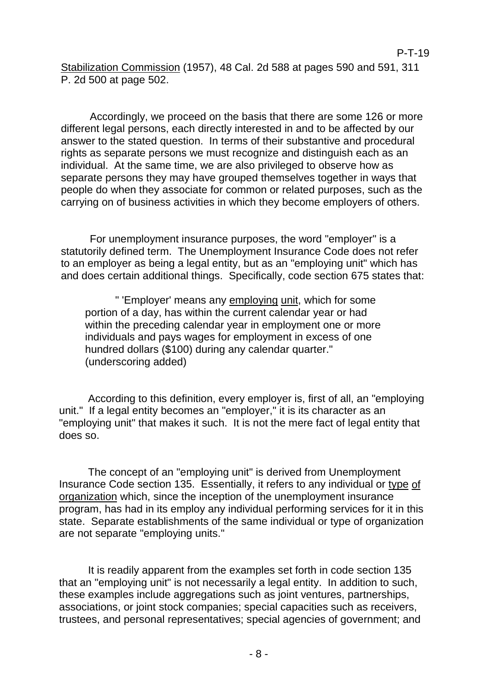Stabilization Commission (1957), 48 Cal. 2d 588 at pages 590 and 591, 311 P. 2d 500 at page 502.

Accordingly, we proceed on the basis that there are some 126 or more different legal persons, each directly interested in and to be affected by our answer to the stated question. In terms of their substantive and procedural rights as separate persons we must recognize and distinguish each as an individual. At the same time, we are also privileged to observe how as separate persons they may have grouped themselves together in ways that people do when they associate for common or related purposes, such as the carrying on of business activities in which they become employers of others.

For unemployment insurance purposes, the word "employer" is a statutorily defined term. The Unemployment Insurance Code does not refer to an employer as being a legal entity, but as an "employing unit" which has and does certain additional things. Specifically, code section 675 states that:

" 'Employer' means any employing unit, which for some portion of a day, has within the current calendar year or had within the preceding calendar year in employment one or more individuals and pays wages for employment in excess of one hundred dollars (\$100) during any calendar quarter." (underscoring added)

According to this definition, every employer is, first of all, an "employing unit." If a legal entity becomes an "employer," it is its character as an "employing unit" that makes it such. It is not the mere fact of legal entity that does so.

The concept of an "employing unit" is derived from Unemployment Insurance Code section 135. Essentially, it refers to any individual or type of organization which, since the inception of the unemployment insurance program, has had in its employ any individual performing services for it in this state. Separate establishments of the same individual or type of organization are not separate "employing units."

It is readily apparent from the examples set forth in code section 135 that an "employing unit" is not necessarily a legal entity. In addition to such, these examples include aggregations such as joint ventures, partnerships, associations, or joint stock companies; special capacities such as receivers, trustees, and personal representatives; special agencies of government; and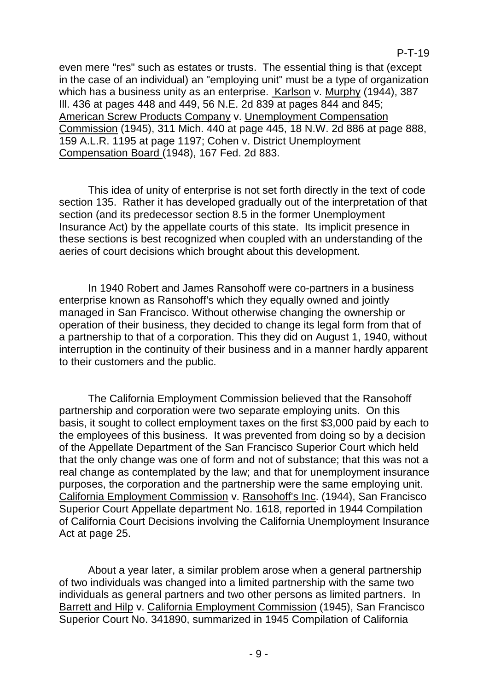even mere "res" such as estates or trusts. The essential thing is that (except in the case of an individual) an "employing unit" must be a type of organization which has a business unity as an enterprise. Karlson v. Murphy (1944), 387 Ill. 436 at pages 448 and 449, 56 N.E. 2d 839 at pages 844 and 845; American Screw Products Company v. Unemployment Compensation Commission (1945), 311 Mich. 440 at page 445, 18 N.W. 2d 886 at page 888, 159 A.L.R. 1195 at page 1197; Cohen v. District Unemployment Compensation Board (1948), 167 Fed. 2d 883.

This idea of unity of enterprise is not set forth directly in the text of code section 135. Rather it has developed gradually out of the interpretation of that section (and its predecessor section 8.5 in the former Unemployment Insurance Act) by the appellate courts of this state. Its implicit presence in these sections is best recognized when coupled with an understanding of the aeries of court decisions which brought about this development.

In 1940 Robert and James Ransohoff were co-partners in a business enterprise known as Ransohoff's which they equally owned and jointly managed in San Francisco. Without otherwise changing the ownership or operation of their business, they decided to change its legal form from that of a partnership to that of a corporation. This they did on August 1, 1940, without interruption in the continuity of their business and in a manner hardly apparent to their customers and the public.

The California Employment Commission believed that the Ransohoff partnership and corporation were two separate employing units. On this basis, it sought to collect employment taxes on the first \$3,000 paid by each to the employees of this business. It was prevented from doing so by a decision of the Appellate Department of the San Francisco Superior Court which held that the only change was one of form and not of substance; that this was not a real change as contemplated by the law; and that for unemployment insurance purposes, the corporation and the partnership were the same employing unit. California Employment Commission v. Ransohoff's Inc. (1944), San Francisco Superior Court Appellate department No. 1618, reported in 1944 Compilation of California Court Decisions involving the California Unemployment Insurance Act at page 25.

About a year later, a similar problem arose when a general partnership of two individuals was changed into a limited partnership with the same two individuals as general partners and two other persons as limited partners. In Barrett and Hilp v. California Employment Commission (1945), San Francisco Superior Court No. 341890, summarized in 1945 Compilation of California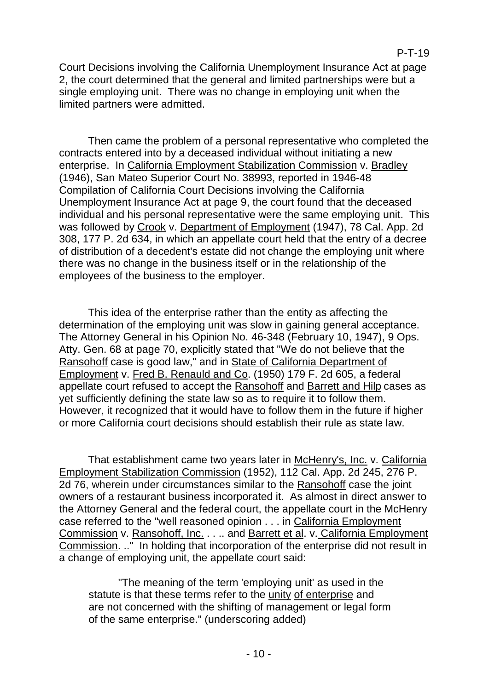Court Decisions involving the California Unemployment Insurance Act at page 2, the court determined that the general and limited partnerships were but a single employing unit. There was no change in employing unit when the limited partners were admitted.

Then came the problem of a personal representative who completed the contracts entered into by a deceased individual without initiating a new enterprise. In California Employment Stabilization Commission v. Bradley (1946), San Mateo Superior Court No. 38993, reported in 1946-48 Compilation of California Court Decisions involving the California Unemployment Insurance Act at page 9, the court found that the deceased individual and his personal representative were the same employing unit. This was followed by Crook v. Department of Employment (1947), 78 Cal. App. 2d 308, 177 P. 2d 634, in which an appellate court held that the entry of a decree of distribution of a decedent's estate did not change the employing unit where there was no change in the business itself or in the relationship of the employees of the business to the employer.

This idea of the enterprise rather than the entity as affecting the determination of the employing unit was slow in gaining general acceptance. The Attorney General in his Opinion No. 46-348 (February 10, 1947), 9 Ops. Atty. Gen. 68 at page 70, explicitly stated that "We do not believe that the Ransohoff case is good law," and in State of California Department of Employment v. Fred B. Renauld and Co. (1950) 179 F. 2d 605, a federal appellate court refused to accept the Ransohoff and Barrett and Hilp cases as yet sufficiently defining the state law so as to require it to follow them. However, it recognized that it would have to follow them in the future if higher or more California court decisions should establish their rule as state law.

That establishment came two years later in McHenry's, Inc. v. California Employment Stabilization Commission (1952), 112 Cal. App. 2d 245, 276 P. 2d 76, wherein under circumstances similar to the Ransohoff case the joint owners of a restaurant business incorporated it. As almost in direct answer to the Attorney General and the federal court, the appellate court in the McHenry case referred to the "well reasoned opinion . . . in California Employment Commission v. Ransohoff, Inc. . . .. and Barrett et al. v. California Employment Commission. .." In holding that incorporation of the enterprise did not result in a change of employing unit, the appellate court said:

"The meaning of the term 'employing unit' as used in the statute is that these terms refer to the unity of enterprise and are not concerned with the shifting of management or legal form of the same enterprise." (underscoring added)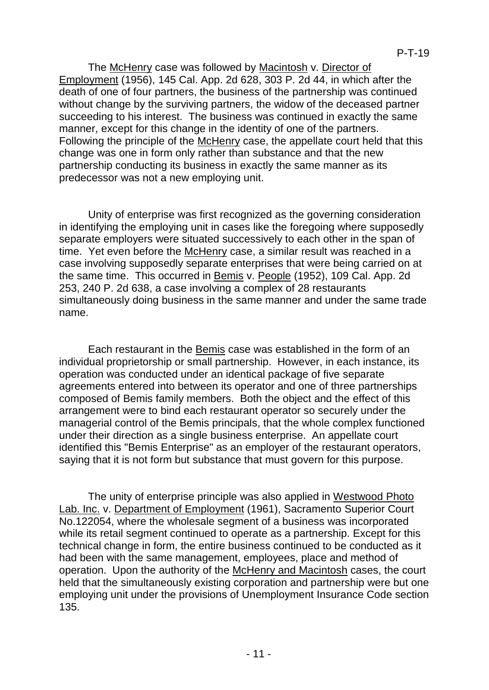The McHenry case was followed by Macintosh v. Director of Employment (1956), 145 Cal. App. 2d 628, 303 P. 2d 44, in which after the death of one of four partners, the business of the partnership was continued without change by the surviving partners, the widow of the deceased partner succeeding to his interest. The business was continued in exactly the same manner, except for this change in the identity of one of the partners. Following the principle of the McHenry case, the appellate court held that this change was one in form only rather than substance and that the new partnership conducting its business in exactly the same manner as its predecessor was not a new employing unit.

Unity of enterprise was first recognized as the governing consideration in identifying the employing unit in cases like the foregoing where supposedly separate employers were situated successively to each other in the span of time. Yet even before the McHenry case, a similar result was reached in a case involving supposedly separate enterprises that were being carried on at the same time. This occurred in Bemis v. People (1952), 109 Cal. App. 2d 253, 240 P. 2d 638, a case involving a complex of 28 restaurants simultaneously doing business in the same manner and under the same trade name.

Each restaurant in the Bemis case was established in the form of an individual proprietorship or small partnership. However, in each instance, its operation was conducted under an identical package of five separate agreements entered into between its operator and one of three partnerships composed of Bemis family members. Both the object and the effect of this arrangement were to bind each restaurant operator so securely under the managerial control of the Bemis principals, that the whole complex functioned under their direction as a single business enterprise. An appellate court identified this "Bemis Enterprise" as an employer of the restaurant operators, saying that it is not form but substance that must govern for this purpose.

The unity of enterprise principle was also applied in Westwood Photo Lab. Inc. v. Department of Employment (1961), Sacramento Superior Court No.122054, where the wholesale segment of a business was incorporated while its retail segment continued to operate as a partnership. Except for this technical change in form, the entire business continued to be conducted as it had been with the same management, employees, place and method of operation. Upon the authority of the McHenry and Macintosh cases, the court held that the simultaneously existing corporation and partnership were but one employing unit under the provisions of Unemployment Insurance Code section 135.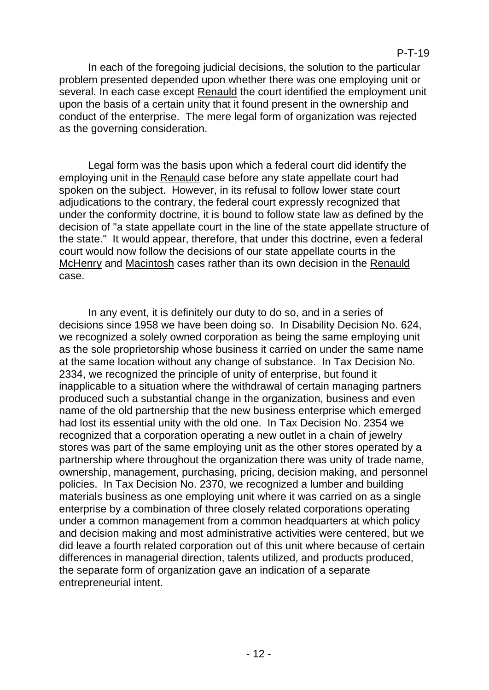#### P-T-19

In each of the foregoing judicial decisions, the solution to the particular problem presented depended upon whether there was one employing unit or several. In each case except Renauld the court identified the employment unit upon the basis of a certain unity that it found present in the ownership and conduct of the enterprise. The mere legal form of organization was rejected as the governing consideration.

Legal form was the basis upon which a federal court did identify the employing unit in the Renauld case before any state appellate court had spoken on the subject. However, in its refusal to follow lower state court adjudications to the contrary, the federal court expressly recognized that under the conformity doctrine, it is bound to follow state law as defined by the decision of "a state appellate court in the line of the state appellate structure of the state." It would appear, therefore, that under this doctrine, even a federal court would now follow the decisions of our state appellate courts in the McHenry and Macintosh cases rather than its own decision in the Renauld case.

In any event, it is definitely our duty to do so, and in a series of decisions since 1958 we have been doing so. In Disability Decision No. 624, we recognized a solely owned corporation as being the same employing unit as the sole proprietorship whose business it carried on under the same name at the same location without any change of substance. In Tax Decision No. 2334, we recognized the principle of unity of enterprise, but found it inapplicable to a situation where the withdrawal of certain managing partners produced such a substantial change in the organization, business and even name of the old partnership that the new business enterprise which emerged had lost its essential unity with the old one. In Tax Decision No. 2354 we recognized that a corporation operating a new outlet in a chain of jewelry stores was part of the same employing unit as the other stores operated by a partnership where throughout the organization there was unity of trade name, ownership, management, purchasing, pricing, decision making, and personnel policies. In Tax Decision No. 2370, we recognized a lumber and building materials business as one employing unit where it was carried on as a single enterprise by a combination of three closely related corporations operating under a common management from a common headquarters at which policy and decision making and most administrative activities were centered, but we did leave a fourth related corporation out of this unit where because of certain differences in managerial direction, talents utilized, and products produced, the separate form of organization gave an indication of a separate entrepreneurial intent.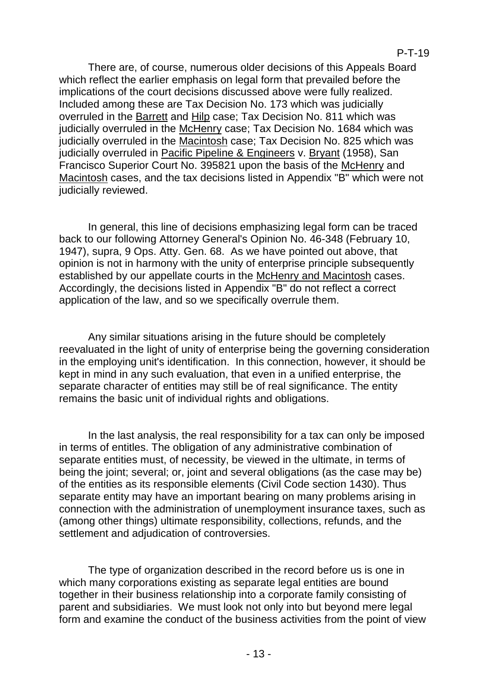There are, of course, numerous older decisions of this Appeals Board which reflect the earlier emphasis on legal form that prevailed before the implications of the court decisions discussed above were fully realized. Included among these are Tax Decision No. 173 which was judicially overruled in the Barrett and Hilp case; Tax Decision No. 811 which was judicially overruled in the McHenry case; Tax Decision No. 1684 which was judicially overruled in the Macintosh case; Tax Decision No. 825 which was judicially overruled in Pacific Pipeline & Engineers v. Bryant (1958), San Francisco Superior Court No. 395821 upon the basis of the McHenry and Macintosh cases, and the tax decisions listed in Appendix "B" which were not judicially reviewed.

In general, this line of decisions emphasizing legal form can be traced back to our following Attorney General's Opinion No. 46-348 (February 10, 1947), supra, 9 Ops. Atty. Gen. 68. As we have pointed out above, that opinion is not in harmony with the unity of enterprise principle subsequently established by our appellate courts in the McHenry and Macintosh cases. Accordingly, the decisions listed in Appendix "B" do not reflect a correct application of the law, and so we specifically overrule them.

Any similar situations arising in the future should be completely reevaluated in the light of unity of enterprise being the governing consideration in the employing unit's identification. In this connection, however, it should be kept in mind in any such evaluation, that even in a unified enterprise, the separate character of entities may still be of real significance. The entity remains the basic unit of individual rights and obligations.

In the last analysis, the real responsibility for a tax can only be imposed in terms of entitles. The obligation of any administrative combination of separate entities must, of necessity, be viewed in the ultimate, in terms of being the joint; several; or, joint and several obligations (as the case may be) of the entities as its responsible elements (Civil Code section 1430). Thus separate entity may have an important bearing on many problems arising in connection with the administration of unemployment insurance taxes, such as (among other things) ultimate responsibility, collections, refunds, and the settlement and adjudication of controversies.

The type of organization described in the record before us is one in which many corporations existing as separate legal entities are bound together in their business relationship into a corporate family consisting of parent and subsidiaries. We must look not only into but beyond mere legal form and examine the conduct of the business activities from the point of view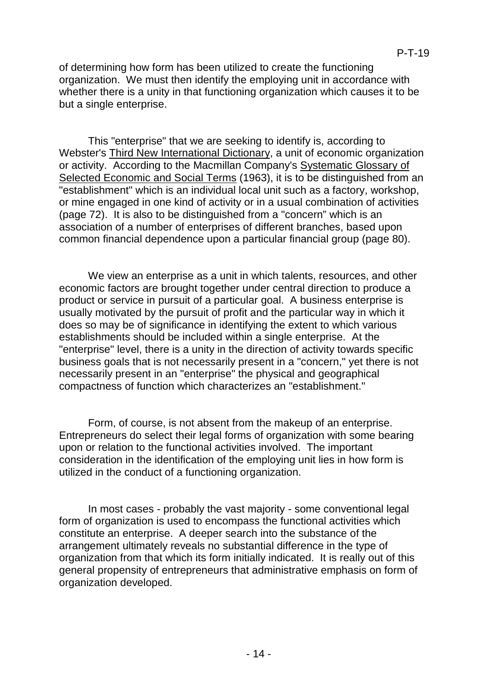of determining how form has been utilized to create the functioning organization. We must then identify the employing unit in accordance with whether there is a unity in that functioning organization which causes it to be but a single enterprise.

This "enterprise" that we are seeking to identify is, according to Webster's Third New International Dictionary, a unit of economic organization or activity. According to the Macmillan Company's Systematic Glossary of Selected Economic and Social Terms (1963), it is to be distinguished from an "establishment" which is an individual local unit such as a factory, workshop, or mine engaged in one kind of activity or in a usual combination of activities (page 72). It is also to be distinguished from a "concern" which is an association of a number of enterprises of different branches, based upon common financial dependence upon a particular financial group (page 80).

We view an enterprise as a unit in which talents, resources, and other economic factors are brought together under central direction to produce a product or service in pursuit of a particular goal. A business enterprise is usually motivated by the pursuit of profit and the particular way in which it does so may be of significance in identifying the extent to which various establishments should be included within a single enterprise. At the "enterprise" level, there is a unity in the direction of activity towards specific business goals that is not necessarily present in a "concern," yet there is not necessarily present in an "enterprise" the physical and geographical compactness of function which characterizes an "establishment."

Form, of course, is not absent from the makeup of an enterprise. Entrepreneurs do select their legal forms of organization with some bearing upon or relation to the functional activities involved. The important consideration in the identification of the employing unit lies in how form is utilized in the conduct of a functioning organization.

In most cases - probably the vast majority - some conventional legal form of organization is used to encompass the functional activities which constitute an enterprise. A deeper search into the substance of the arrangement ultimately reveals no substantial difference in the type of organization from that which its form initially indicated. It is really out of this general propensity of entrepreneurs that administrative emphasis on form of organization developed.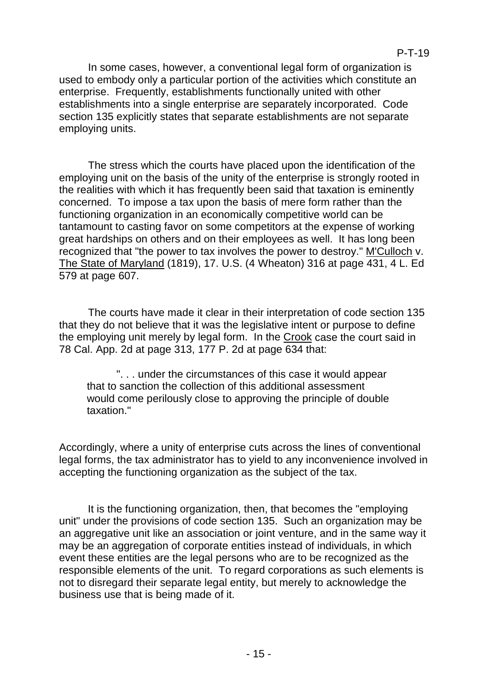In some cases, however, a conventional legal form of organization is used to embody only a particular portion of the activities which constitute an enterprise. Frequently, establishments functionally united with other establishments into a single enterprise are separately incorporated. Code section 135 explicitly states that separate establishments are not separate employing units.

The stress which the courts have placed upon the identification of the employing unit on the basis of the unity of the enterprise is strongly rooted in the realities with which it has frequently been said that taxation is eminently concerned. To impose a tax upon the basis of mere form rather than the functioning organization in an economically competitive world can be tantamount to casting favor on some competitors at the expense of working great hardships on others and on their employees as well. It has long been recognized that "the power to tax involves the power to destroy." M'Culloch v. The State of Maryland (1819), 17. U.S. (4 Wheaton) 316 at page 431, 4 L. Ed 579 at page 607.

The courts have made it clear in their interpretation of code section 135 that they do not believe that it was the legislative intent or purpose to define the employing unit merely by legal form. In the Crook case the court said in 78 Cal. App. 2d at page 313, 177 P. 2d at page 634 that:

". . . under the circumstances of this case it would appear that to sanction the collection of this additional assessment would come perilously close to approving the principle of double taxation."

Accordingly, where a unity of enterprise cuts across the lines of conventional legal forms, the tax administrator has to yield to any inconvenience involved in accepting the functioning organization as the subject of the tax.

It is the functioning organization, then, that becomes the "employing unit" under the provisions of code section 135. Such an organization may be an aggregative unit like an association or joint venture, and in the same way it may be an aggregation of corporate entities instead of individuals, in which event these entities are the legal persons who are to be recognized as the responsible elements of the unit. To regard corporations as such elements is not to disregard their separate legal entity, but merely to acknowledge the business use that is being made of it.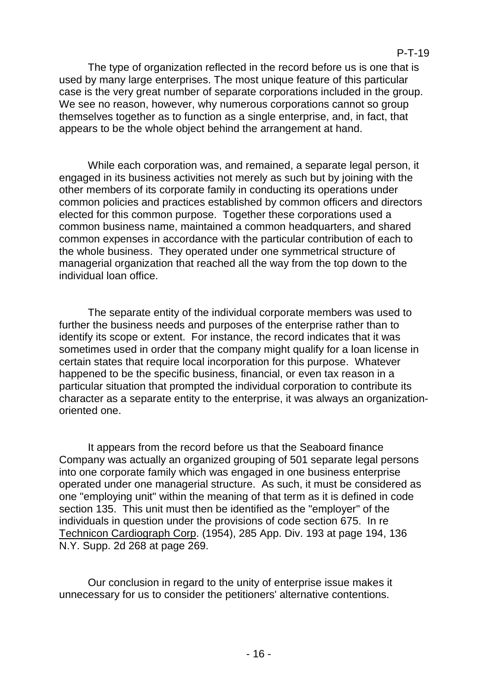The type of organization reflected in the record before us is one that is used by many large enterprises. The most unique feature of this particular case is the very great number of separate corporations included in the group. We see no reason, however, why numerous corporations cannot so group themselves together as to function as a single enterprise, and, in fact, that appears to be the whole object behind the arrangement at hand.

While each corporation was, and remained, a separate legal person, it engaged in its business activities not merely as such but by joining with the other members of its corporate family in conducting its operations under common policies and practices established by common officers and directors elected for this common purpose. Together these corporations used a common business name, maintained a common headquarters, and shared common expenses in accordance with the particular contribution of each to the whole business. They operated under one symmetrical structure of managerial organization that reached all the way from the top down to the individual loan office.

The separate entity of the individual corporate members was used to further the business needs and purposes of the enterprise rather than to identify its scope or extent. For instance, the record indicates that it was sometimes used in order that the company might qualify for a loan license in certain states that require local incorporation for this purpose. Whatever happened to be the specific business, financial, or even tax reason in a particular situation that prompted the individual corporation to contribute its character as a separate entity to the enterprise, it was always an organizationoriented one.

It appears from the record before us that the Seaboard finance Company was actually an organized grouping of 501 separate legal persons into one corporate family which was engaged in one business enterprise operated under one managerial structure. As such, it must be considered as one "employing unit" within the meaning of that term as it is defined in code section 135. This unit must then be identified as the "employer" of the individuals in question under the provisions of code section 675. In re Technicon Cardiograph Corp. (1954), 285 App. Div. 193 at page 194, 136 N.Y. Supp. 2d 268 at page 269.

Our conclusion in regard to the unity of enterprise issue makes it unnecessary for us to consider the petitioners' alternative contentions.